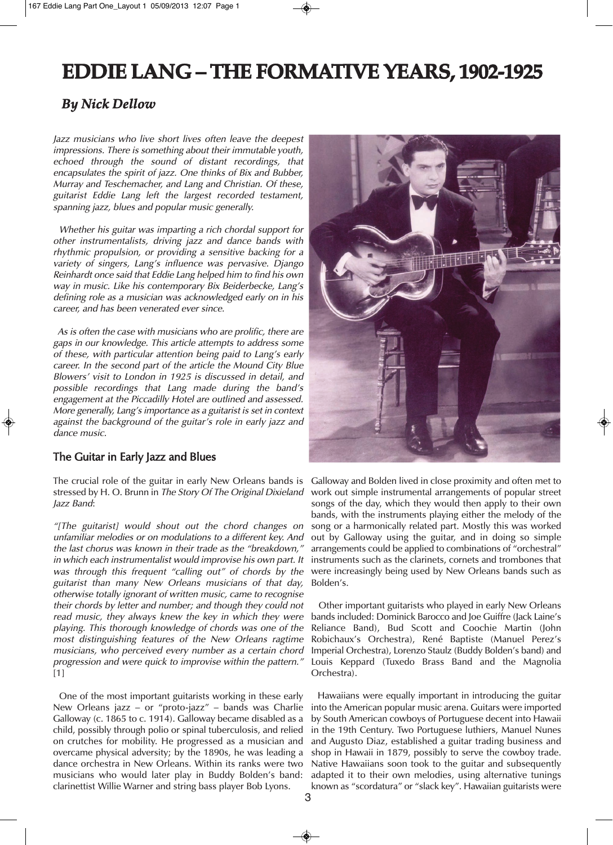# **EDDIE LANG – THE FORMATIVE YEARS, 1902-1925**

## *By Nick Dellow*

Jazz musicians who live short lives often leave the deepest impressions. There is something about their immutable youth, echoed through the sound of distant recordings, that encapsulates the spirit of jazz. One thinks of Bix and Bubber, Murray and Teschemacher, and Lang and Christian. Of these, guitarist Eddie Lang left the largest recorded testament, spanning jazz, blues and popular music generally.

Whether his guitar was imparting <sup>a</sup> rich chordal support for other instrumentalists, driving jazz and dance bands with rhythmic propulsion, or providing <sup>a</sup> sensitive backing for <sup>a</sup> variety of singers, Lang's influence was pervasive. Django Reinhardt once said that Eddie Lang helped him to find his own way in music. Like his contemporary Bix Beiderbecke, Lang's defining role as <sup>a</sup> musician was acknowledged early on in his career, and has been venerated ever since.

As is often the case with musicians who are prolific, there are gaps in our knowledge. This article attempts to address some of these, with particular attention being paid to Lang's early career. In the second part of the article the Mound City Blue Blowers' visit to London in 1925 is discussed in detail, and possible recordings that Lang made during the band's engagement at the Piccadilly Hotel are outlined and assessed. More generally, Lang's importance as <sup>a</sup> guitarist is set in context against the background of the guitar's role in early jazz and dance music.

#### The Guitar in Early Jazz and Blues

The crucial role of the guitar in early New Orleans bands is stressed by H. O. Brunn in The Story Of The Original Dixieland Jazz Band:

"[The guitarist] would shout out the chord changes on unfamiliar melodies or on modulations to <sup>a</sup> different key. And the last chorus was known in their trade as the "breakdown," in which each instrumentalist would improvise his own part. It was through this frequent "calling out" of chords by the guitarist than many New Orleans musicians of that day, otherwise totally ignorant of written music, came to recognise their chords by letter and number; and though they could not read music, they always knew the key in which they were playing. This thorough knowledge of chords was one of the most distinguishing features of the New Orleans ragtime musicians, who perceived every number as <sup>a</sup> certain chord progression and were quick to improvise within the pattern." [1]

One of the most important guitarists working in these early New Orleans jazz – or "proto-jazz" – bands was Charlie Galloway (c. 1865 to c. 1914). Galloway became disabled as a child, possibly through polio or spinal tuberculosis, and relied on crutches for mobility. He progressed as a musician and overcame physical adversity; by the 1890s, he was leading a dance orchestra in New Orleans. Within its ranks were two musicians who would later play in Buddy Bolden's band: clarinettist Willie Warner and string bass player Bob Lyons.



Galloway and Bolden lived in close proximity and often met to work out simple instrumental arrangements of popular street songs of the day, which they would then apply to their own bands, with the instruments playing either the melody of the song or a harmonically related part. Mostly this was worked out by Galloway using the guitar, and in doing so simple arrangements could be applied to combinations of "orchestral" instruments such as the clarinets, cornets and trombones that were increasingly being used by New Orleans bands such as Bolden's.

Other important guitarists who played in early New Orleans bands included: Dominick Barocco and Joe Guiffre (Jack Laine's Reliance Band), Bud Scott and Coochie Martin (John Robichaux's Orchestra), René Baptiste (Manuel Perez's Imperial Orchestra), Lorenzo Staulz (Buddy Bolden's band) and Louis Keppard (Tuxedo Brass Band and the Magnolia Orchestra).

Hawaiians were equally important in introducing the guitar into the American popular music arena. Guitars were imported by South American cowboys of Portuguese decent into Hawaii in the 19th Century. Two Portuguese luthiers, Manuel Nunes and Augusto Diaz, established a guitar trading business and shop in Hawaii in 1879, possibly to serve the cowboy trade. Native Hawaiians soon took to the guitar and subsequently adapted it to their own melodies, using alternative tunings known as "scordatura" or "slack key". Hawaiian guitarists were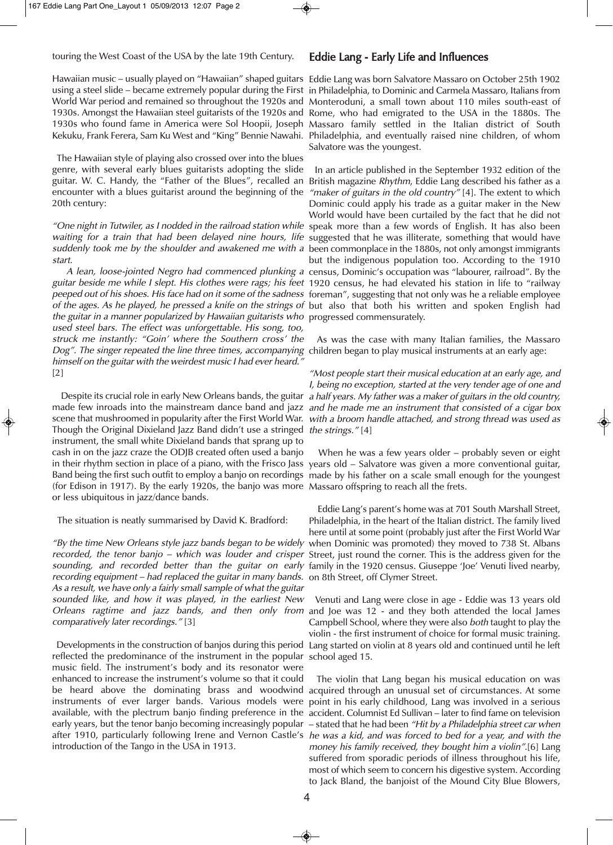touring the West Coast of the USA by the late 19th Century.

Hawaiian music – usually played on "Hawaiian" shaped guitars Eddie Lang was born Salvatore Massaro on October 25th 1902 using a steel slide – became extremely popular during the First in Philadelphia, to Dominic and Carmela Massaro, Italians from World War period and remained so throughout the 1920s and Monteroduni, a small town about 110 miles south-east of 1930s. Amongst the Hawaiian steel guitarists of the 1920s and Rome, who had emigrated to the USA in the 1880s. The 1930s who found fame in America were Sol Hoopii, Joseph Massaro family settled in the Italian district of South

The Hawaiian style of playing also crossed over into the blues genre, with several early blues guitarists adopting the slide guitar. W. C. Handy, the "Father of the Blues", recalled an British magazine *Rhythm,* Eddie Lang described his father as a encounter with a blues guitarist around the beginning of the *"maker of guitars in the old country"* [4]. The extent to which 20th century:

*"One night in Tutwiler, as I nodded in the railroad station while s*peak more than a few words of English. It has also been waiting for a train that had been delayed nine hours, life suggested that he was illiterate, something that would have *suddenly took me by the shoulder and awakened me with a b*een commonplace in the 1880s, not only amongst immigrants start.

guitar beside me while <sup>I</sup> slept. His clothes were rags; his feet 1920 census, he had elevated his station in life to "railway *peeped out of his shoes. His face had on it some of the sadness f*oreman″, suggesting that not only was he a reliable employee of the ages. As he played, he pressed a knife on the strings of but also that both his written and spoken English had the guitar in <sup>a</sup> manner popularized by Hawaiian guitarists who progressed commensurately. used steel bars. The effect was unforgettable. His song, too, struck me instantly: "Goin' where the Southern cross' the *Dog". The singer repeated the line three times, accompanying c*hildren began to play musical instruments at an early age: himself on the guitar with the weirdest music I had ever heard." [2]

made few inroads into the mainstream dance band and jazz and he made me an instrument that consisted of a cigar box scene that mushroomed in popularity after the First World War. with a broom handle attached, and strong thread was used as Though the Original Dixieland Jazz Band didn't use a stringed *the strings."* [4] instrument, the small white Dixieland bands that sprang up to cash in on the jazz craze the ODJB created often used a banjo in their rhythm section in place of a piano, with the Frisco Jass years old – Salvatore was given a more conventional guitar, Band being the first such outfit to employ a banjo on recordings made by his father on a scale small enough for the youngest (for Edison in 1917). By the early 1920s, the banjo was more Massaro offspring to reach all the frets. or less ubiquitous in jazz/dance bands.

The situation is neatly summarised by David K. Bradford:

"By the time New Orleans style jazz bands began to be widely when Dominic was promoted) they moved to 738 St. Albans recorded, the tenor banjo – which was louder and crisper Street, just round the corner. This is the address given for the *sounding, and recorded better than the guitar on early* family in*t*he 1920 census. Giuseppe 'Joe' Venuti lived nearby, recording equipment – had replaced the guitar in many bands. on 8th Street, off Clymer Street. As <sup>a</sup> result, we have only <sup>a</sup> fairly small sample of what the guitar sounded like, and how it was played, in the earliest New Orleans ragtime and jazz bands, and then only from and Joe was 12 - and they both attended the local James comparatively later recordings." [3]

reflected the predominance of the instrument in the popular school aged 15. music field. The instrument's body and its resonator were enhanced to increase the instrument's volume so that it could be heard above the dominating brass and woodwind acquired through an unusual set of circumstances. At some instruments of ever larger bands. Various models were point in his early childhood, Lang was involved in a serious available, with the plectrum banjo finding preference in the accident. Columnist Ed Sullivan – later to find fame on television early years, but the tenor banjo becoming increasingly popular – stated that he had been *"Hit by a Philadelphia street car when* after 1910, particularly following Irene and Vernon Castle's *he was a kid, and was forced to bed for a year, and with the* introduction of the Tango in the USA in 1913.

#### Eddie Lang - Early Life and Influences

Kekuku, Frank Ferera, Sam Ku West and "King" Bennie Nawahi. Philadelphia, and eventually raised nine children, of whom Salvatore was the youngest.

<sup>A</sup> lean, loose-jointed Negro had commenced plunking <sup>a</sup> census, Dominic's occupation was "labourer, railroad". By the In an article published in the September 1932 edition of the Dominic could apply his trade as a guitar maker in the New World would have been curtailed by the fact that he did not but the indigenous population too. According to the 1910

As was the case with many Italian families, the Massaro

Despite its crucial role in early New Orleans bands, the guitar a half years. My father was a maker of guitars in the old country, "Most people start their musical education at an early age, and I, being no exception, started at the very tender age of one and

When he was a few years older – probably seven or eight

Eddie Lang's parent's home was at 701 South Marshall Street, Philadelphia, in the heart of the Italian district. The family lived here until at some point (probably just after the First World War

Developments in the construction of banjos during this period Lang started on violin at 8 years old and continued until he left Venuti and Lang were close in age - Eddie was 13 years old Campbell School, where they were also both taught to play the violin - the first instrument of choice for formal music training.

> The violin that Lang began his musical education on was money his family received, they bought him <sup>a</sup> violin".[6] Lang suffered from sporadic periods of illness throughout his life, most of which seem to concern his digestive system. According to Jack Bland, the banjoist of the Mound City Blue Blowers,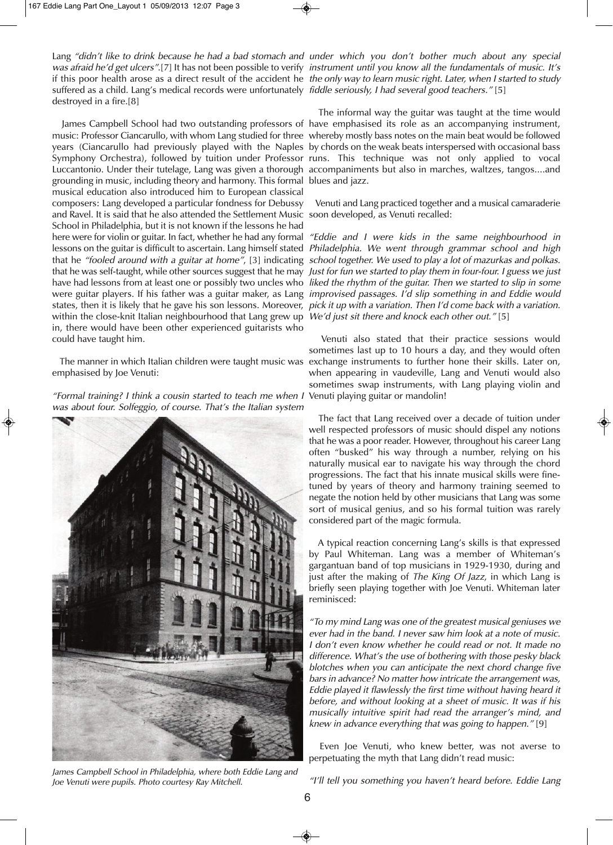was afraid he′d get ulcers″.[7] It has not been possible to verify  *instrument until you know all the fundamentals of music. It′s* suffered as a child. Lang's medical records were unfortunately *fiddle seriously, I had several good teachers."* [5] destroyed in a fire.[8]

music: Professor Ciancarullo, with whom Lang studied for three whereby mostly bass notes on the main beat would be followed years (Ciancarullo had previously played with the Naples by chords on the weak beats interspersed with occasional bass Symphony Orchestra), followed by tuition under Professor runs. This technique was not only applied to vocal Luccantonio. Under their tutelage, Lang was given a thorough accompaniments but also in marches, waltzes, tangos....and grounding in music, including theory and harmony. This formal blues and jazz. musical education also introduced him to European classical composers: Lang developed a particular fondness for Debussy and Ravel. It is said that he also attended the Settlement Music soon developed, as Venuti recalled: School in Philadelphia, but it is not known if the lessons he had here were for violin or guitar. In fact, whether he had any formal *"Eddie and I were kids in the same neighbourhood in* lessons on the guitar is difficult to ascertain. Lang himself stated Philadelphia. We went through grammar school and high that he "fooled around with <sup>a</sup> guitar at home", [3] indicating school together. We used to play <sup>a</sup> lot of mazurkas and polkas. that he was self-taught, while other sources suggest that he may Just for fun we started to play them in four-four. I guess we just have had lessons from at least one or possibly two uncles who liked the rhythm of the guitar. Then we started to slip in some were guitar players. If his father was a guitar maker, as Lang *improvised passages. I'd slip something in and Eddie would* states, then it is likely that he gave his son lessons. Moreover, *pick it up with a variation. Then I'd come back with a variation.* within the close-knit Italian neighbourhood that Lang grew up We'd just sit there and knock each other out." [5] in, there would have been other experienced guitarists who could have taught him.

emphasised by Joe Venuti:

"Formal training? <sup>I</sup> think <sup>a</sup> cousin started to teach me when <sup>I</sup> Venuti playing guitar or mandolin! was about four. Solfeggio, of course. That's the Italian system



James Campbell School in Philadelphia, where both Eddie Lang and Joe Venuti were pupils. Photo courtesy Ray Mitchell.

Lang "didn't like to drink because he had <sup>a</sup> bad stomach and under which you don't bother much about any special if this poor health arose as a direct result of the accident he *the only way to learn music right. Later, when I started to study* 

James Campbell School had two outstanding professors of have emphasised its role as an accompanying instrument, The informal way the guitar was taught at the time would

Venuti and Lang practiced together and a musical camaraderie

The manner in which Italian children were taught music was exchange instruments to further hone their skills. Later on, Venuti also stated that their practice sessions would sometimes last up to 10 hours a day, and they would often when appearing in vaudeville, Lang and Venuti would also sometimes swap instruments, with Lang playing violin and

> The fact that Lang received over a decade of tuition under well respected professors of music should dispel any notions that he was a poor reader. However, throughout his career Lang often "busked" his way through a number, relying on his naturally musical ear to navigate his way through the chord progressions. The fact that his innate musical skills were finetuned by years of theory and harmony training seemed to negate the notion held by other musicians that Lang was some sort of musical genius, and so his formal tuition was rarely considered part of the magic formula.

> A typical reaction concerning Lang's skills is that expressed by Paul Whiteman. Lang was a member of Whiteman's gargantuan band of top musicians in 1929-1930, during and just after the making of The King Of Jazz, in which Lang is briefly seen playing together with Joe Venuti. Whiteman later reminisced:

> "To my mind Lang was one of the greatest musical geniuses we ever had in the band. I never saw him look at <sup>a</sup> note of music. I don't even know whether he could read or not. It made no difference. What's the use of bothering with those pesky black blotches when you can anticipate the next chord change five bars in advance? No matter how intricate the arrangement was, Eddie played it flawlessly the first time without having heard it before, and without looking at <sup>a</sup> sheet of music. It was if his musically intuitive spirit had read the arranger's mind, and knew in advance everything that was going to happen." [9]

> Even Joe Venuti, who knew better, was not averse to perpetuating the myth that Lang didn't read music:

> "I'll tell you something you haven't heard before. Eddie Lang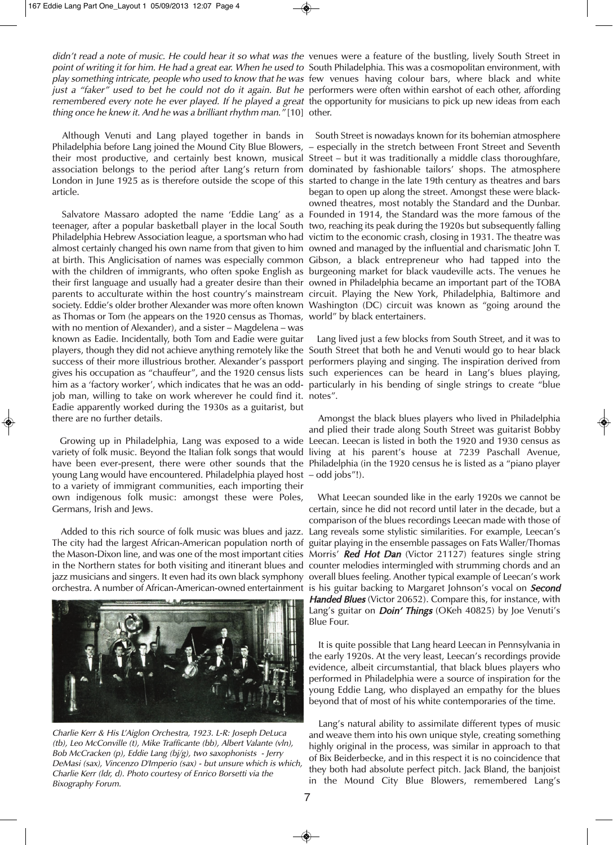didn't read a note of music. He could hear it so what was the venues were a feature of the bustling, lively South Street in *point of writing it for him. He had a great ear. When he used to S*outh Philadelphia. This was a cosmopolitan environment, with play something intricate, people who used to know that he was few venues having colour bars, where black and white just <sup>a</sup> "faker" used to bet he could not do it again. But he performers were often within earshot of each other, affording *remembered every note he ever played. If he played a great h*e opportunity for musicians to pick up new ideas from each thing once he knew it. And he was <sup>a</sup> brilliant rhythm man." [10] other.

Philadelphia before Lang joined the Mound City Blue Blowers, – especially in the stretch between Front Street and Seventh their most productive, and certainly best known, musical Street – but it was traditionally a middle class thoroughfare, association belongs to the period after Lang's return from dominated by fashionable tailors' shops. The atmosphere London in June 1925 as is therefore outside the scope of this started to change in the late 19th century as theatres and bars article.

teenager, after a popular basketball player in the local South two, reaching its peak during the 1920s but subsequently falling Philadelphia Hebrew Association league, a sportsman who had victim to the economic crash, closing in 1931. The theatre was almost certainly changed his own name from that given to him owned and managed by the influential and charismatic John T. at birth. This Anglicisation of names was especially common Gibson, a black entrepreneur who had tapped into the with the children of immigrants, who often spoke English as burgeoning market for black vaudeville acts. The venues he their first language and usually had a greater desire than their owned in Philadelphia became an important part of the TOBA parents to acculturate within the host country's mainstream circuit. Playing the New York, Philadelphia, Baltimore and society. Eddie's older brother Alexander was more often known Washington (DC) circuit was known as "going around the as Thomas or Tom (he appears on the 1920 census as Thomas, world" by black entertainers. with no mention of Alexander), and a sister – Magdelena – was known as Eadie. Incidentally, both Tom and Eadie were guitar players, though they did not achieve anything remotely like the South Street that both he and Venuti would go to hear black success of their more illustrious brother. Alexander's passport performers playing and singing. The inspiration derived from gives his occupation as "chauffeur", and the 1920 census lists such experiences can be heard in Lang's blues playing, him as a 'factory worker', which indicates that he was an odd-particularly in his bending of single strings to create "blue job man, willing to take on work wherever he could find it. notes". Eadie apparently worked during the 1930s as a guitarist, but there are no further details.

variety of folk music. Beyond the Italian folk songs that would living at his parent's house at 7239 Paschall Avenue, have been ever-present, there were other sounds that the Philadelphia (in the 1920 census he is listed as a "piano player young Lang would have encountered. Philadelphia played host – odd jobs"!). to a variety of immigrant communities, each importing their own indigenous folk music: amongst these were Poles, Germans, Irish and Jews.

The city had the largest African-American population north of the Mason-Dixon line, and was one of the most important cities Morris' Red Hot Dan (Victor 21127) features single string in the Northern states for both visiting and itinerant blues and counter melodies intermingled with strumming chords and an jazz musicians and singers. It even had its own black symphony overall blues feeling. Another typical example of Leecan's work



Charlie Kerr & His L'Aiglon Orchestra, 1923. L-R: Joseph DeLuca (tb), Leo McConville (t), Mike Trafficante (bb), Albert Valante (vln), Bob McCracken (p), Eddie Lang (bj/g), two saxophonists - Jerry DeMasi (sax), Vincenzo D'Imperio (sax) - but unsure which is which, Charlie Kerr (ldr, d). Photo courtesy of Enrico Borsetti via the Bixography Forum.

Although Venuti and Lang played together in bands in South Street is nowadays known for its bohemian atmosphere Salvatore Massaro adopted the name 'Eddie Lang' as a Founded in 1914, the Standard was the more famous of the began to open up along the street. Amongst these were blackowned theatres, most notably the Standard and the Dunbar.

Lang lived just a few blocks from South Street, and it was to

Growing up in Philadelphia, Lang was exposed to a wide Leecan. Leecan is listed in both the 1920 and 1930 census as Amongst the black blues players who lived in Philadelphia and plied their trade along South Street was guitarist Bobby

Added to this rich source of folk music was blues and jazz. Lang reveals some stylistic similarities. For example, Leecan's orchestra. A number of African-American-owned entertainment is his guitar backing to Margaret Johnson's vocal on Second What Leecan sounded like in the early 1920s we cannot be certain, since he did not record until later in the decade, but a comparison of the blues recordings Leecan made with those of guitar playing in the ensemble passages on Fats Waller/Thomas Handed Blues (Victor 20652). Compare this, for instance, with Lang's guitar on *Doin' Things* (OKeh 40825) by Joe Venuti's Blue Four.

> It is quite possible that Lang heard Leecan in Pennsylvania in the early 1920s. At the very least, Leecan's recordings provide evidence, albeit circumstantial, that black blues players who performed in Philadelphia were a source of inspiration for the young Eddie Lang, who displayed an empathy for the blues beyond that of most of his white contemporaries of the time.

> Lang's natural ability to assimilate different types of music and weave them into his own unique style, creating something highly original in the process, was similar in approach to that of Bix Beiderbecke, and in this respect it is no coincidence that they both had absolute perfect pitch. Jack Bland, the banjoist in the Mound City Blue Blowers, remembered Lang's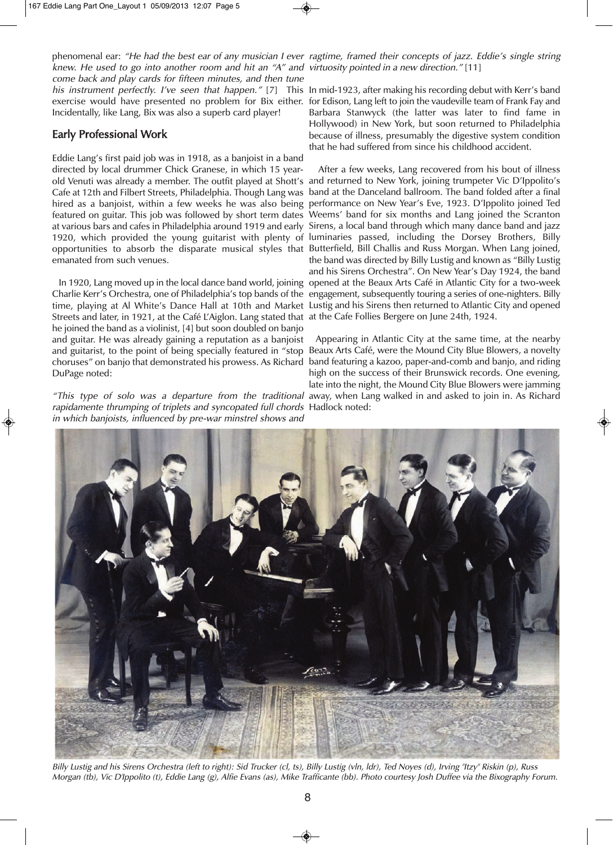knew. He used to go into another room and hit an "A" and virtuosity pointed in <sup>a</sup> new direction." [11] come back and play cards for fifteen minutes, and then tune exercise would have presented no problem for Bix either. for Edison, Lang left to join the vaudeville team of Frank Fay and Incidentally, like Lang, Bix was also a superb card player!

### Early Professional Work

Eddie Lang's first paid job was in 1918, as a banjoist in a band directed by local drummer Chick Granese, in which 15 yearold Venuti was already a member. The outfit played at Shott's and returned to New York, joining trumpeter Vic D'Ippolito's Cafe at 12th and Filbert Streets, Philadelphia. Though Lang was band at the Danceland ballroom. The band folded after a final hired as a banjoist, within a few weeks he was also being performance on New Year's Eve, 1923. D'Ippolito joined Ted featured on guitar. This job was followed by short term dates Weems' band for six months and Lang joined the Scranton at various bars and cafes in Philadelphia around 1919 and early Sirens, a local band through which many dance band and jazz 1920, which provided the young guitarist with plenty of luminaries passed, including the Dorsey Brothers, Billy opportunities to absorb the disparate musical styles that Butterfield, Bill Challis and Russ Morgan. When Lang joined, emanated from such venues.

Charlie Kerr's Orchestra, one of Philadelphia's top bands of the engagement, subsequently touring a series of one-nighters. Billy time, playing at Al White's Dance Hall at 10th and Market Lustig and his Sirens then returned to Atlantic City and opened Streets and later, in 1921, at the Café L'Aiglon. Lang stated that at the Cafe Follies Bergere on June 24th, 1924. he joined the band as a violinist, [4] but soon doubled on banjo and guitar. He was already gaining a reputation as a banjoist and guitarist, to the point of being specially featured in "stop Beaux Arts Café, were the Mound City Blue Blowers, a novelty choruses" on banjo that demonstrated his prowess. As Richard band featuring a kazoo, paper-and-comb and banjo, and riding DuPage noted:

"This type of solo was <sup>a</sup> departure from the traditional away, when Lang walked in and asked to join in. As Richard rapidamente thrumping of triplets and syncopated full chords Hadlock noted: in which banjoists, influenced by pre-war minstrel shows and

phenomenal ear: "He had the best ear of any musician <sup>I</sup> ever ragtime, framed their concepts of jazz. Eddie's single string

*his instrument perfectly. I've seen that happen."* [7] This In mid-1923, after making his recording debut with Kerr's band Barbara Stanwyck (the latter was later to find fame in Hollywood) in New York, but soon returned to Philadelphia because of illness, presumably the digestive system condition that he had suffered from since his childhood accident.

In 1920, Lang moved up in the local dance band world, joining opened at the Beaux Arts Café in Atlantic City for a two-week After a few weeks, Lang recovered from his bout of illness the band was directed by Billy Lustig and known as "Billy Lustig and his Sirens Orchestra". On New Year's Day 1924, the band

> Appearing in Atlantic City at the same time, at the nearby high on the success of their Brunswick records. One evening, late into the night, the Mound City Blue Blowers were jamming



Billy Lustig and his Sirens Orchestra (left to right): Sid Trucker (cl, ts), Billy Lustig (vln, ldr), Ted Noyes (d), Irving "Itzy" Riskin (p), Russ Morgan (tb), Vic D'Ippolito (t), Eddie Lang (g), Alfie Evans (as), Mike Trafficante (bb). Photo courtesy Josh Duffee via the Bixography Forum.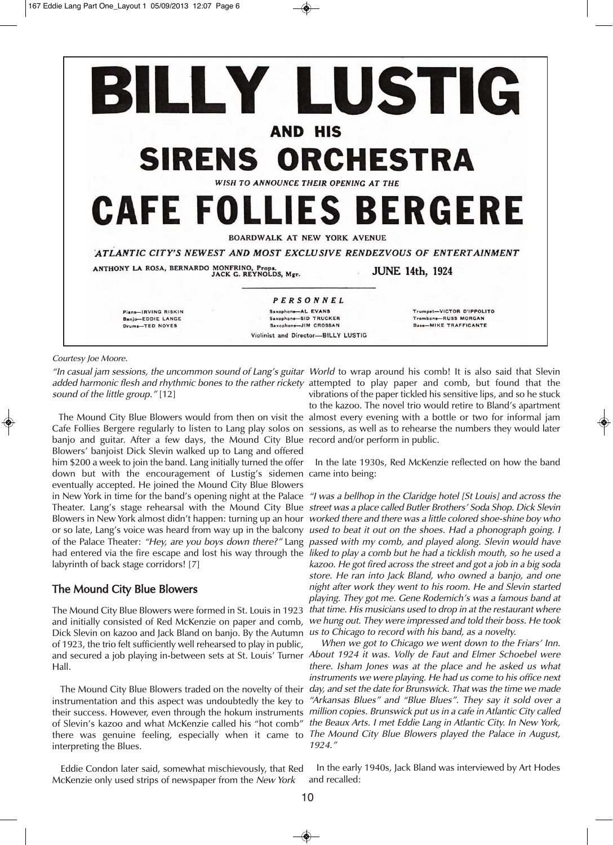

Courtesy Joe Moore.

"In casual jam sessions, the uncommon sound of Lang's guitar World to wrap around his comb! It is also said that Slevin *added harmonic flesh and rhythmic bones to the rather rickety* attempted to play paper and comb, but found that the sound of the little group." [12]

Cafe Follies Bergere regularly to listen to Lang play solos on sessions, as well as to rehearse the numbers they would later banjo and guitar. After a few days, the Mound City Blue record and/or perform in public. Blowers' banjoist Dick Slevin walked up to Lang and offered him \$200 a week to join the band. Lang initially turned the offer down but with the encouragement of Lustig's sidemen came into being: eventually accepted. He joined the Mound City Blue Blowers in New York in time for the band's opening night at the Palace *"I was a bellhop in the Claridge hotel [St Louis] and across the* Theater. Lang's stage rehearsal with the Mound City Blue *street* was*a* place called Butler Brothers' Soda Shop. Dick Slevin Blowers in New York almost didn't happen: turning up an hour worked there and there was a little colored shoe-shine boy who or so late, Lang's voice was heard from way up in the balcony used to beat it out on the shoes. Had a phonograph going. I of the Palace Theater: "Hey, are you boys down there?" Lang passed with my comb, and played along. Slevin would have had entered via the fire escape and lost his way through the *liked to play a comb but he had a ticklish mouth, so he used a* labyrinth of back stage corridors! [7]

### The Mound City Blue Blowers

The Mound City Blue Blowers were formed in St. Louis in 1923 *that time. His musicians used to drop in at the restaurant where* and initially consisted of Red McKenzie on paper and comb, we hung out. They were impressed and told their boss. He took Dick Slevin on kazoo and Jack Bland on banjo. By the Autumn us to Chicago to record with his band, as a novelty. of 1923, the trio felt sufficiently well rehearsed to play in public, and secured a job playing in-between sets at St. Louis' Turner About <sup>1924</sup> it was. Volly de Faut and Elmer Schoebel were Hall.

instrumentation and this aspect was undoubtedly the key to of Slevin's kazoo and what McKenzie called his "hot comb" there was genuine feeling, especially when it came to The Mound City Blue Blowers played the Palace in August, interpreting the Blues.

Eddie Condon later said, somewhat mischievously, that Red McKenzie only used strips of newspaper from the New York

The Mound City Blue Blowers would from then on visit the almost every evening with a bottle or two for informal jam vibrations of the paper tickled his sensitive lips, and so he stuck to the kazoo. The novel trio would retire to Bland's apartment

In the late 1930s, Red McKenzie reflected on how the band

kazoo. He got fired across the street and got <sup>a</sup> job in <sup>a</sup> big soda store. He ran into Jack Bland, who owned <sup>a</sup> banjo, and one night after work they went to his room. He and Slevin started playing. They got me. Gene Rodemich's was <sup>a</sup> famous band at

The Mound City Blue Blowers traded on the novelty of their *day, and set the date for Brunswick. That was the time we made* their success. However, even through the hokum instruments *million copies. Brunswick put us in a cafe in Atlantic City called* When we got to Chicago we went down to the Friars' Inn. there. Isham Jones was at the place and he asked us what instruments we were playing. He had us come to his office next "Arkansas Blues" and "Blue Blues". They say it sold over <sup>a</sup> the Beaux Arts. <sup>I</sup> met Eddie Lang in Atlantic City. In New York, 1924."

> In the early 1940s, Jack Bland was interviewed by Art Hodes and recalled: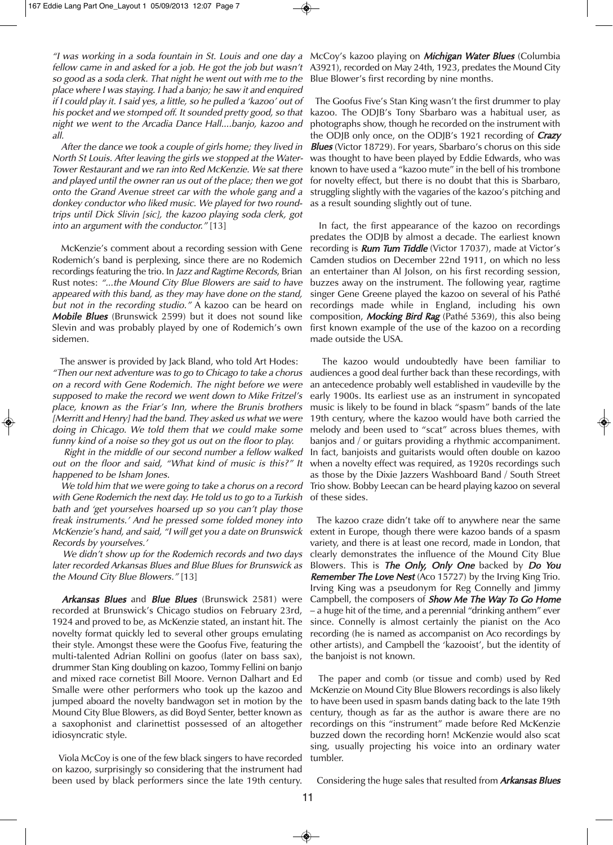"I was working in a soda fountain in St. Louis and one day a McCoy's kazoo playing on **Michigan Water Blues** (Columbia fellow came in and asked for <sup>a</sup> job. He got the job but wasn't so good as <sup>a</sup> soda clerk. That night he went out with me to the place where <sup>I</sup> was staying. <sup>I</sup> had <sup>a</sup> banjo; he saw it and enquired if <sup>I</sup> could play it. <sup>I</sup> said yes, <sup>a</sup> little, so he pulled <sup>a</sup> 'kazoo' out of his pocket and we stomped off. It sounded pretty good, so that night we went to the Arcadia Dance Hall....banjo, kazoo and all.

After the dance we took <sup>a</sup> couple of girls home; they lived in North St Louis. After leaving the girls we stopped at the Water-Tower Restaurant and we ran into Red McKenzie. We sat there and played until the owner ran us out of the place; then we got onto the Grand Avenue street car with the whole gang and <sup>a</sup> donkey conductor who liked music. We played for two roundtrips until Dick Slivin [sic], the kazoo playing soda clerk, got into an argument with the conductor." [13]

McKenzie's comment about a recording session with Gene Rodemich's band is perplexing, since there are no Rodemich recordings featuring the trio. In Jazz and Ragtime Records, Brian Rust notes: "...the Mound City Blue Blowers are said to have appeared with this band, as they may have done on the stand, but not in the recording studio." A kazoo can be heard on **Mobile Blues** (Brunswick 2599) but it does not sound like Slevin and was probably played by one of Rodemich's own sidemen.

The answer is provided by Jack Bland, who told Art Hodes: "Then our next adventure was to go to Chicago to take <sup>a</sup> chorus on <sup>a</sup> record with Gene Rodemich. The night before we were supposed to make the record we went down to Mike Fritzel's place, known as the Friar's Inn, where the Brunis brothers [Merritt and Henry] had the band. They asked us what we were doing in Chicago. We told them that we could make some funny kind of <sup>a</sup> noise so they got us out on the floor to play.

Right in the middle of our second number <sup>a</sup> fellow walked out on the floor and said, "What kind of music is this?" It happened to be Isham Jones.

We told him that we were going to take <sup>a</sup> chorus on <sup>a</sup> record with Gene Rodemich the next day. He told us to go to <sup>a</sup> Turkish bath and 'get yourselves hoarsed up so you can't play those freak instruments.' And he pressed some folded money into McKenzie's hand, and said, "I will get you <sup>a</sup> date on Brunswick Records by yourselves.'

We didn't show up for the Rodemich records and two days later recorded Arkansas Blues and Blue Blues for Brunswick as the Mound City Blue Blowers." [13]

Arkansas Blues and Blue Blues (Brunswick 2581) were recorded at Brunswick's Chicago studios on February 23rd, 1924 and proved to be, as McKenzie stated, an instant hit. The novelty format quickly led to several other groups emulating their style. Amongst these were the Goofus Five, featuring the multi-talented Adrian Rollini on goofus (later on bass sax), drummer Stan King doubling on kazoo, Tommy Fellini on banjo and mixed race cornetist Bill Moore. Vernon Dalhart and Ed Smalle were other performers who took up the kazoo and jumped aboard the novelty bandwagon set in motion by the Mound City Blue Blowers, as did Boyd Senter, better known as a saxophonist and clarinettist possessed of an altogether idiosyncratic style.

Viola McCoy is one of the few black singers to have recorded on kazoo, surprisingly so considering that the instrument had been used by black performers since the late 19th century.

A3921), recorded on May 24th, 1923, predates the Mound City Blue Blower's first recording by nine months.

The Goofus Five's Stan King wasn't the first drummer to play kazoo. The ODJB's Tony Sbarbaro was a habitual user, as photographs show, though he recorded on the instrument with the ODJB only once, on the ODJB's 1921 recording of **Crazy Blues** (Victor 18729). For years, Sbarbaro's chorus on this side was thought to have been played by Eddie Edwards, who was known to have used a "kazoo mute" in the bell of his trombone for novelty effect, but there is no doubt that this is Sbarbaro, struggling slightly with the vagaries of the kazoo's pitching and as a result sounding slightly out of tune.

In fact, the first appearance of the kazoo on recordings predates the ODJB by almost a decade. The earliest known recording is **Rum Tum Tiddle** (Victor 17037), made at Victor's Camden studios on December 22nd 1911, on which no less an entertainer than Al Jolson, on his first recording session, buzzes away on the instrument. The following year, ragtime singer Gene Greene played the kazoo on several of his Pathé recordings made while in England, including his own composition, Mocking Bird Rag (Pathé 5369), this also being first known example of the use of the kazoo on a recording made outside the USA.

The kazoo would undoubtedly have been familiar to audiences a good deal further back than these recordings, with an antecedence probably well established in vaudeville by the early 1900s. Its earliest use as an instrument in syncopated music is likely to be found in black "spasm" bands of the late 19th century, where the kazoo would have both carried the melody and been used to "scat" across blues themes, with banjos and / or guitars providing a rhythmic accompaniment. In fact, banjoists and guitarists would often double on kazoo when a novelty effect was required, as 1920s recordings such as those by the Dixie Jazzers Washboard Band / South Street Trio show. Bobby Leecan can be heard playing kazoo on several of these sides.

The kazoo craze didn't take off to anywhere near the same extent in Europe, though there were kazoo bands of a spasm variety, and there is at least one record, made in London, that clearly demonstrates the influence of the Mound City Blue Blowers. This is The Only, Only One backed by Do You **Remember The Love Nest** (Aco 15727) by the Irving King Trio. Irving King was a pseudonym for Reg Connelly and Jimmy Campbell, the composers of Show Me The Way To Go Home – a huge hit of the time, and a perennial "drinking anthem" ever since. Connelly is almost certainly the pianist on the Aco recording (he is named as accompanist on Aco recordings by other artists), and Campbell the 'kazooist', but the identity of the banjoist is not known.

The paper and comb (or tissue and comb) used by Red McKenzie on Mound City Blue Blowers recordings is also likely to have been used in spasm bands dating back to the late 19th century, though as far as the author is aware there are no recordings on this "instrument" made before Red McKenzie buzzed down the recording horn! McKenzie would also scat sing, usually projecting his voice into an ordinary water tumbler.

Considering the huge sales that resulted from **Arkansas Blues**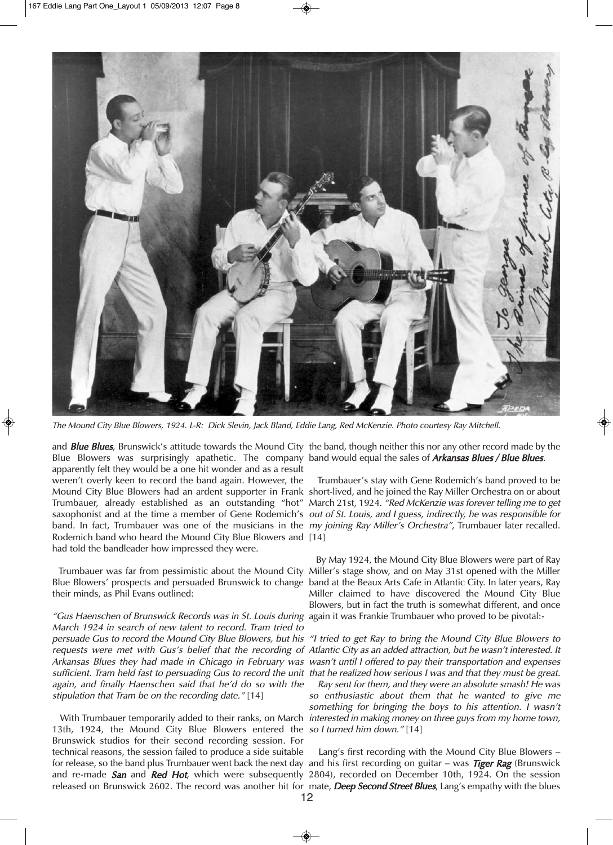

The Mound City Blue Blowers, 1924. L-R: Dick Slevin, Jack Bland, Eddie Lang, Red McKenzie. Photo courtesy Ray Mitchell.

and *Blue Blues,* Brunswick's attitude towards the Mound City the band, though neither this nor any other record made by the Blue Blowers was surprisingly apathetic. The company band would equal the sales of Arkansas Blues / Blue Blues. apparently felt they would be a one hit wonder and as a result weren't overly keen to record the band again. However, the Mound City Blue Blowers had an ardent supporter in Frank short-lived, and he joined the Ray Miller Orchestra on or about Trumbauer, already established as an outstanding "hot" March 21st, 1924. *"Red McKenzie was forever telling me to get* saxophonist and at the time a member of Gene Rodemich's *out of St. Louis, and I guess, indirectly, he was responsible for* band. In fact, Trumbauer was one of the musicians in the *my joining Ray Miller's Orchestra",* Trumbauer later recalled. Rodemich band who heard the Mound City Blue Blowers and [14] had told the bandleader how impressed they were.

Blue Blowers' prospects and persuaded Brunswick to change band at the Beaux Arts Cafe in Atlantic City. In later years, Ray their minds, as Phil Evans outlined:

"Gus Haenschen of Brunswick Records was in St. Louis during again it was Frankie Trumbauer who proved to be pivotal:- March 1924 in search of new talent to record. Tram tried to persuade Gus to record the Mound City Blue Blowers, but his "I tried to get Ray to bring the Mound City Blue Blowers to requests were met with Gus's belief that the recording of Atlantic City as an added attraction, but he wasn't interested. It Arkansas Blues they had made in Chicago in February was wasn't until I offered to pay their transportation and expenses sufficient. Tram held fast to persuading Gus to record the unit that he realized how serious I was and that they must be great. again, and finally Haenschen said that he'd do so with the stipulation that Tram be on the recording date." [14]

13th, 1924, the Mound City Blue Blowers entered the sol turned him down."[14] Brunswick studios for their second recording session. For technical reasons, the session failed to produce a side suitable for release, so the band plus Trumbauer went back the next day and his first recording on guitar – was *Tiger Rag* (Brunswick and re-made San and Red Hot, which were subsequently 2804), recorded on December 10th, 1924. On the session released on Brunswick 2602. The record was another hit for mate, **Deep Second Street Blues**, Lang's empathy with the blues

Trumbauer's stay with Gene Rodemich's band proved to be

Trumbauer was far from pessimistic about the Mound City Miller's stage show, and on May 31st opened with the Miller By May 1924, the Mound City Blue Blowers were part of Ray Miller claimed to have discovered the Mound City Blue Blowers, but in fact the truth is somewhat different, and once

With Trumbauer temporarily added to their ranks, on March *interested in making money on three guys from my home town,* Ray sent for them, and they were an absolute smash! He was so enthusiastic about them that he wanted to give me something for bringing the boys to his attention. <sup>I</sup> wasn't

Lang's first recording with the Mound City Blue Blowers –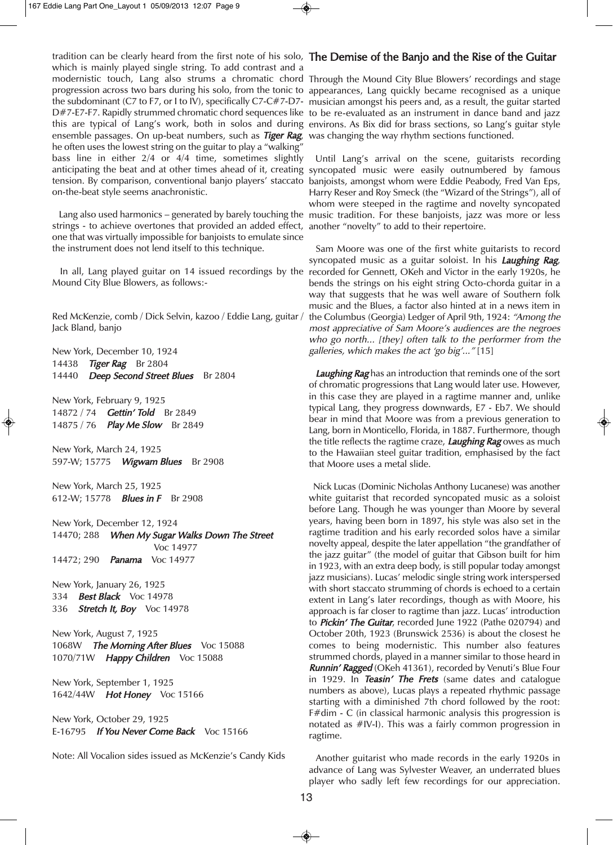tradition can be clearly heard from the first note of his solo, T**he Demise of the Banjo and the Rise of the Guitar** which is mainly played single string. To add contrast and a modernistic touch, Lang also strums a chromatic chord Through the Mound City Blue Blowers' recordings and stage progression across two bars during his solo, from the tonic to appearances, Lang quickly became recognised as a unique the subdominant (C7 to F7, or I to IV), specifically C7-C#7-D7- musician amongst his peers and, as a result, the guitar started D#7-E7-F7. Rapidly strummed chromatic chord sequences like to be re-evaluated as an instrument in dance band and jazz this are typical of Lang's work, both in solos and during environs. As Bix did for brass sections, so Lang's guitar style ensemble passages. On up-beat numbers, such as *Tiger Rag, w*as changing the way rhythm sections functioned. he often uses the lowest string on the guitar to play a "walking" bass line in either 2/4 or 4/4 time, sometimes slightly anticipating the beat and at other times ahead of it, creating syncopated music were easily outnumbered by famous tension. By comparison, conventional banjo players' staccato banjoists, amongst whom were Eddie Peabody, Fred Van Eps, on-the-beat style seems anachronistic.

strings - to achieve overtones that provided an added effect, one that was virtually impossible for banjoists to emulate since the instrument does not lend itself to this technique.

In all, Lang played guitar on 14 issued recordings by the Mound City Blue Blowers, as follows:-

Red McKenzie, comb / Dick Selvin, kazoo / Eddie Lang, guitar / Jack Bland, banjo

New York, December 10, 1924 14438 Tiger Rag Br 2804 14440 Deep Second Street Blues Br 2804

New York, February 9, 1925 14872 / 74 **Gettin' Told** Br 2849 14875 / 76 Play Me Slow Br 2849

New York, March 24, 1925 597-W; 15775 Wigwam Blues Br 2908

New York, March 25, 1925 612-W; 15778 **Blues in F** Br 2908

New York, December 12, 1924 14470; 288 When My Sugar Walks Down The Street Voc 14977 14472; 290 **Panama** Voc 14977

New York, January 26, 1925 334 **Best Black** Voc 14978 336 **Stretch It, Boy** Voc 14978

New York, August 7, 1925 1068W The Morning After Blues Voc 15088 1070/71W Happy Children Voc 15088

New York, September 1, 1925 1642/44W Hot Honey Voc 15166

New York, October 29, 1925 E-16795 If You Never Come Back Voc 15166

Note: All Vocalion sides issued as McKenzie's Candy Kids

Lang also used harmonics – generated by barely touching the music tradition. For these banjoists, jazz was more or less Until Lang's arrival on the scene, guitarists recording Harry Reser and Roy Smeck (the "Wizard of the Strings"), all of whom were steeped in the ragtime and novelty syncopated another "novelty" to add to their repertoire.

> Sam Moore was one of the first white guitarists to record syncopated music as a guitar soloist. In his Laughing Rag, recorded for Gennett, OKeh and Victor in the early 1920s, he bends the strings on his eight string Octo-chorda guitar in a way that suggests that he was well aware of Southern folk music and the Blues, a factor also hinted at in a news item in the Columbus (Georgia) Ledger of April 9th, 1924: "Among the most appreciative of Sam Moore's audiences are the negroes who go north... [they] often talk to the performer from the galleries, which makes the act 'go big'..." [15]

> Laughing Rag has an introduction that reminds one of the sort of chromatic progressions that Lang would later use. However, in this case they are played in a ragtime manner and, unlike typical Lang, they progress downwards, E7 - Eb7. We should bear in mind that Moore was from a previous generation to Lang, born in Monticello, Florida, in 1887. Furthermore, though the title reflects the ragtime craze, **Laughing Rag** owes as much to the Hawaiian steel guitar tradition, emphasised by the fact that Moore uses a metal slide.

> Nick Lucas (Dominic Nicholas Anthony Lucanese) was another white guitarist that recorded syncopated music as a soloist before Lang. Though he was younger than Moore by several years, having been born in 1897, his style was also set in the ragtime tradition and his early recorded solos have a similar novelty appeal, despite the later appellation "the grandfather of the jazz guitar" (the model of guitar that Gibson built for him in 1923, with an extra deep body, is still popular today amongst jazz musicians). Lucas' melodic single string work interspersed with short staccato strumming of chords is echoed to a certain extent in Lang's later recordings, though as with Moore, his approach is far closer to ragtime than jazz. Lucas' introduction to *Pickin' The Guitar*, recorded June 1922 (Pathe 020794) and October 20th, 1923 (Brunswick 2536) is about the closest he comes to being modernistic. This number also features strummed chords, played in a manner similar to those heard in Runnin' Ragged (OKeh 41361), recorded by Venuti's Blue Four in 1929. In Teasin' The Frets (same dates and catalogue numbers as above), Lucas plays a repeated rhythmic passage starting with a diminished 7th chord followed by the root: F#dim - C (in classical harmonic analysis this progression is notated as #IV-I). This was a fairly common progression in ragtime.

> Another guitarist who made records in the early 1920s in advance of Lang was Sylvester Weaver, an underrated blues player who sadly left few recordings for our appreciation.